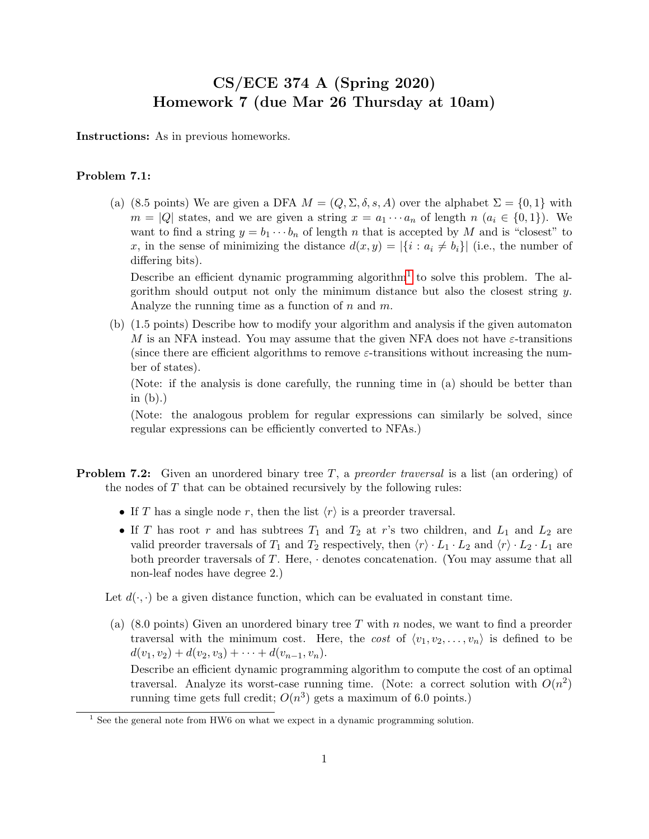## CS/ECE 374 A (Spring 2020) Homework 7 (due Mar 26 Thursday at 10am)

Instructions: As in previous homeworks.

## Problem 7.1:

(a) (8.5 points) We are given a DFA  $M = (Q, \Sigma, \delta, s, A)$  over the alphabet  $\Sigma = \{0, 1\}$  with  $m = |Q|$  states, and we are given a string  $x = a_1 \cdots a_n$  of length  $n (a_i \in \{0,1\})$ . We want to find a string  $y = b_1 \cdots b_n$  of length n that is accepted by M and is "closest" to x, in the sense of minimizing the distance  $d(x, y) = |\{i : a_i \neq b_i\}|$  (i.e., the number of differing bits).

Describe an efficient dynamic programming algorithm<sup>[1](#page-0-0)</sup> to solve this problem. The algorithm should output not only the minimum distance but also the closest string  $y$ . Analyze the running time as a function of  $n$  and  $m$ .

(b) (1.5 points) Describe how to modify your algorithm and analysis if the given automaton M is an NFA instead. You may assume that the given NFA does not have  $\varepsilon$ -transitions (since there are efficient algorithms to remove  $\varepsilon$ -transitions without increasing the number of states).

(Note: if the analysis is done carefully, the running time in (a) should be better than in  $(b)$ .)

(Note: the analogous problem for regular expressions can similarly be solved, since regular expressions can be efficiently converted to NFAs.)

- **Problem 7.2:** Given an unordered binary tree  $T$ , a preorder traversal is a list (an ordering) of the nodes of  $T$  that can be obtained recursively by the following rules:
	- If T has a single node r, then the list  $\langle r \rangle$  is a preorder traversal.
	- If T has root r and has subtrees  $T_1$  and  $T_2$  at r's two children, and  $L_1$  and  $L_2$  are valid preorder traversals of  $T_1$  and  $T_2$  respectively, then  $\langle r \rangle \cdot L_1 \cdot L_2$  and  $\langle r \rangle \cdot L_2 \cdot L_1$  are both preorder traversals of  $T$ . Here,  $\cdot$  denotes concatenation. (You may assume that all non-leaf nodes have degree 2.)

Let  $d(\cdot, \cdot)$  be a given distance function, which can be evaluated in constant time.

(a) (8.0 points) Given an unordered binary tree T with n nodes, we want to find a preorder traversal with the minimum cost. Here, the cost of  $\langle v_1, v_2, \ldots, v_n \rangle$  is defined to be  $d(v_1, v_2) + d(v_2, v_3) + \cdots + d(v_{n-1}, v_n).$ 

Describe an efficient dynamic programming algorithm to compute the cost of an optimal traversal. Analyze its worst-case running time. (Note: a correct solution with  $O(n^2)$ ) running time gets full credit;  $O(n^3)$  gets a maximum of 6.0 points.)

<span id="page-0-0"></span><sup>&</sup>lt;sup>1</sup> See the general note from HW6 on what we expect in a dynamic programming solution.